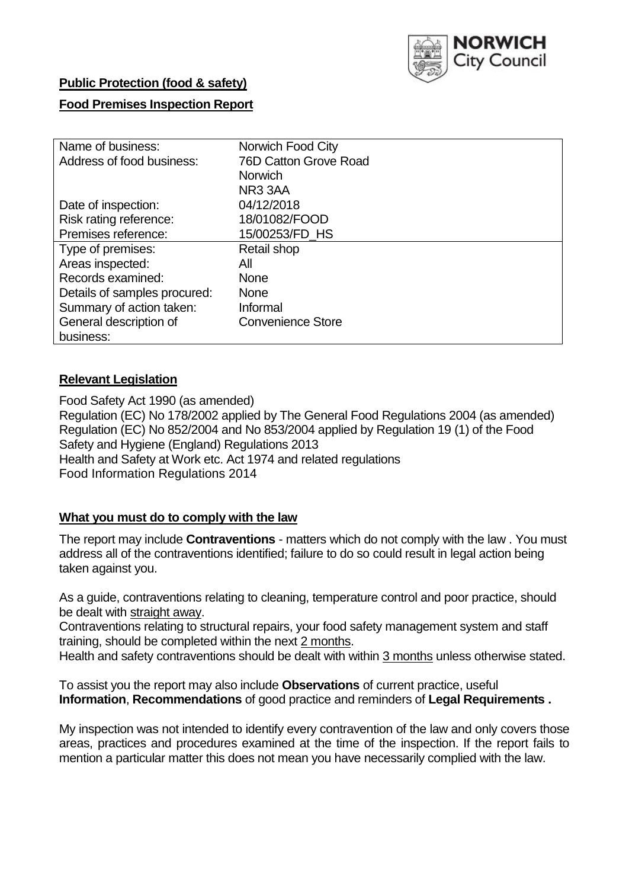

## **Public Protection (food & safety)**

## **Food Premises Inspection Report**

| Name of business:            | Norwich Food City        |
|------------------------------|--------------------------|
| Address of food business:    | 76D Catton Grove Road    |
|                              | <b>Norwich</b>           |
|                              | NR <sub>3</sub> 3AA      |
| Date of inspection:          | 04/12/2018               |
| Risk rating reference:       | 18/01082/FOOD            |
| Premises reference:          | 15/00253/FD HS           |
| Type of premises:            | Retail shop              |
| Areas inspected:             | All                      |
| Records examined:            | <b>None</b>              |
| Details of samples procured: | <b>None</b>              |
| Summary of action taken:     | Informal                 |
| General description of       | <b>Convenience Store</b> |
| business:                    |                          |

### **Relevant Legislation**

Food Safety Act 1990 (as amended) Regulation (EC) No 178/2002 applied by The General Food Regulations 2004 (as amended) Regulation (EC) No 852/2004 and No 853/2004 applied by Regulation 19 (1) of the Food Safety and Hygiene (England) Regulations 2013 Health and Safety at Work etc. Act 1974 and related regulations Food Information Regulations 2014

## **What you must do to comply with the law**

The report may include **Contraventions** - matters which do not comply with the law . You must address all of the contraventions identified; failure to do so could result in legal action being taken against you.

As a guide, contraventions relating to cleaning, temperature control and poor practice, should be dealt with straight away.

Contraventions relating to structural repairs, your food safety management system and staff training, should be completed within the next 2 months.

Health and safety contraventions should be dealt with within 3 months unless otherwise stated.

To assist you the report may also include **Observations** of current practice, useful **Information**, **Recommendations** of good practice and reminders of **Legal Requirements .**

My inspection was not intended to identify every contravention of the law and only covers those areas, practices and procedures examined at the time of the inspection. If the report fails to mention a particular matter this does not mean you have necessarily complied with the law.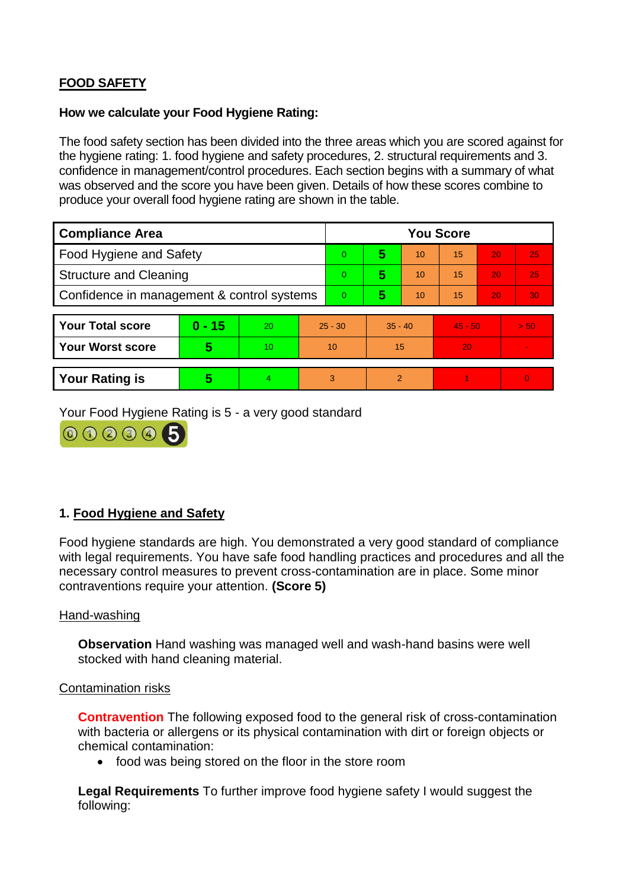# **FOOD SAFETY**

#### **How we calculate your Food Hygiene Rating:**

The food safety section has been divided into the three areas which you are scored against for the hygiene rating: 1. food hygiene and safety procedures, 2. structural requirements and 3. confidence in management/control procedures. Each section begins with a summary of what was observed and the score you have been given. Details of how these scores combine to produce your overall food hygiene rating are shown in the table.

| <b>Compliance Area</b>                     |          |    |           | <b>You Score</b> |                |    |           |    |          |  |  |
|--------------------------------------------|----------|----|-----------|------------------|----------------|----|-----------|----|----------|--|--|
| Food Hygiene and Safety                    |          |    |           | $\Omega$         | 5              | 10 | 15        | 20 | 25       |  |  |
| <b>Structure and Cleaning</b>              |          |    | $\Omega$  | 5                | 10             | 15 | 20        | 25 |          |  |  |
| Confidence in management & control systems |          |    | $\Omega$  | 5                | 10             | 15 | 20        | 30 |          |  |  |
|                                            |          |    |           |                  |                |    |           |    |          |  |  |
| <b>Your Total score</b>                    | $0 - 15$ | 20 | $25 - 30$ |                  | $35 - 40$      |    | $45 - 50$ |    | > 50     |  |  |
| <b>Your Worst score</b>                    | 5        | 10 |           | 10               | 15             |    | 20        |    |          |  |  |
|                                            |          |    |           |                  |                |    |           |    |          |  |  |
| <b>Your Rating is</b>                      | 5        | 4  |           | 3                | $\overline{2}$ |    |           |    | $\Omega$ |  |  |

Your Food Hygiene Rating is 5 - a very good standard



## **1. Food Hygiene and Safety**

Food hygiene standards are high. You demonstrated a very good standard of compliance with legal requirements. You have safe food handling practices and procedures and all the necessary control measures to prevent cross-contamination are in place. Some minor contraventions require your attention. **(Score 5)**

#### Hand-washing

**Observation** Hand washing was managed well and wash-hand basins were well stocked with hand cleaning material.

#### Contamination risks

**Contravention** The following exposed food to the general risk of cross-contamination with bacteria or allergens or its physical contamination with dirt or foreign objects or chemical contamination:

• food was being stored on the floor in the store room

**Legal Requirements** To further improve food hygiene safety I would suggest the following: